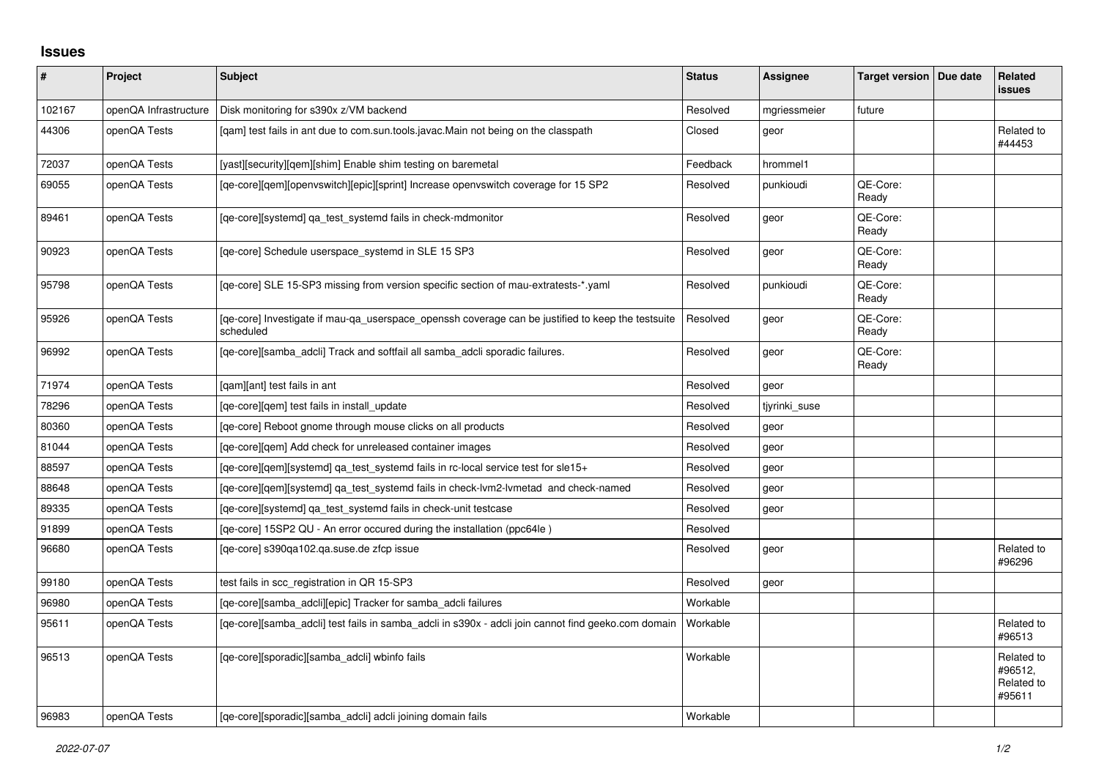## **Issues**

| #      | Project               | <b>Subject</b>                                                                                                 | <b>Status</b> | Assignee      | Target version   Due date | Related<br>issues                             |
|--------|-----------------------|----------------------------------------------------------------------------------------------------------------|---------------|---------------|---------------------------|-----------------------------------------------|
| 102167 | openQA Infrastructure | Disk monitoring for s390x z/VM backend                                                                         | Resolved      | mgriessmeier  | future                    |                                               |
| 44306  | openQA Tests          | [qam] test fails in ant due to com.sun.tools.javac.Main not being on the classpath                             | Closed        | geor          |                           | Related to<br>#44453                          |
| 72037  | openQA Tests          | [yast][security][qem][shim] Enable shim testing on baremetal                                                   | Feedback      | hrommel1      |                           |                                               |
| 69055  | openQA Tests          | [qe-core][qem][openvswitch][epic][sprint] Increase openvswitch coverage for 15 SP2                             | Resolved      | punkioudi     | QE-Core:<br>Ready         |                                               |
| 89461  | openQA Tests          | [qe-core][systemd] qa_test_systemd fails in check-mdmonitor                                                    | Resolved      | geor          | QE-Core:<br>Ready         |                                               |
| 90923  | openQA Tests          | [ge-core] Schedule userspace systemd in SLE 15 SP3                                                             | Resolved      | geor          | QE-Core:<br>Ready         |                                               |
| 95798  | openQA Tests          | [qe-core] SLE 15-SP3 missing from version specific section of mau-extratests-*.yaml                            | Resolved      | punkioudi     | QE-Core:<br>Ready         |                                               |
| 95926  | openQA Tests          | [qe-core] Investigate if mau-qa_userspace_openssh coverage can be justified to keep the testsuite<br>scheduled | Resolved      | geor          | QE-Core:<br>Ready         |                                               |
| 96992  | openQA Tests          | [qe-core][samba_adcli] Track and softfail all samba_adcli sporadic failures.                                   | Resolved      | geor          | QE-Core:<br>Ready         |                                               |
| 71974  | openQA Tests          | [gam][ant] test fails in ant                                                                                   | Resolved      | geor          |                           |                                               |
| 78296  | openQA Tests          | [ge-core][gem] test fails in install update                                                                    | Resolved      | tiyrinki suse |                           |                                               |
| 80360  | openQA Tests          | [ge-core] Reboot gnome through mouse clicks on all products                                                    | Resolved      | geor          |                           |                                               |
| 81044  | openQA Tests          | [qe-core][qem] Add check for unreleased container images                                                       | Resolved      | geor          |                           |                                               |
| 88597  | openQA Tests          | [ge-core][gem][systemd] ga test systemd fails in rc-local service test for sle15+                              | Resolved      | geor          |                           |                                               |
| 88648  | openQA Tests          | [ge-core][gem][systemd] ga test systemd fails in check-lym2-lymetad and check-named                            | Resolved      | geor          |                           |                                               |
| 89335  | openQA Tests          | [qe-core][systemd] qa_test_systemd fails in check-unit testcase                                                | Resolved      | geor          |                           |                                               |
| 91899  | openQA Tests          | [qe-core] 15SP2 QU - An error occured during the installation (ppc64le)                                        | Resolved      |               |                           |                                               |
| 96680  | openQA Tests          | [qe-core] s390qa102.qa.suse.de zfcp issue                                                                      | Resolved      | geor          |                           | Related to<br>#96296                          |
| 99180  | openQA Tests          | test fails in scc registration in QR 15-SP3                                                                    | Resolved      | geor          |                           |                                               |
| 96980  | openQA Tests          | [qe-core][samba_adcli][epic] Tracker for samba_adcli failures                                                  | Workable      |               |                           |                                               |
| 95611  | openQA Tests          | [ge-core][samba adcli] test fails in samba adcli in s390x - adcli join cannot find geeko.com domain            | Workable      |               |                           | Related to<br>#96513                          |
| 96513  | openQA Tests          | [ge-core][sporadic][samba adcli] wbinfo fails                                                                  | Workable      |               |                           | Related to<br>#96512,<br>Related to<br>#95611 |
| 96983  | openQA Tests          | [qe-core][sporadic][samba adcli] adcli joining domain fails                                                    | Workable      |               |                           |                                               |